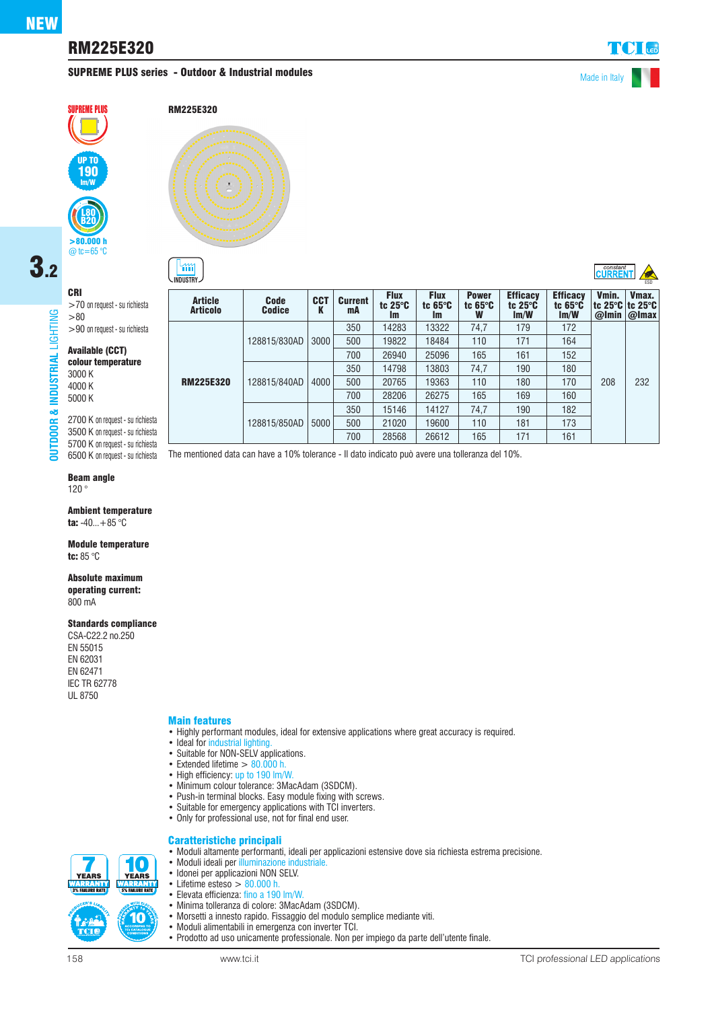# RM225E320

## **SUPREME PLUS series - Outdoor & Industrial modules** Made in Italy

 $\mathfrak{m}$ 

 $\overline{\text{C}^{\text{constant}}$   $\overline{\text{C}^{\text{U}}$ 



#### RM225E320

# 3.2CRI

**OUTDOOR & INDUSTRIAL** LIGHTING

& INDUSTRIAL

**DUTDOOR** 

LIGHTING

>70 on request - su richiesta >80 >90 on request - su richiesta

#### Available (CCT) colour temperature

3000 K 4000 K 5000 K

2700 K on request - su richiesta 3500 K on request - su richiesta 5700 K on request - su richiesta

## Beam angle

120 °

Ambient temperature ta:  $-40...+85$  °C

Module temperature tc: 85 °C

#### Absolute maximum

operating current: 800 mA

#### Standards compliance

CSA-C22.2 no.250 EN 55015 EN 62031 EN 62471 IEC TR 62778 UL 8750

### Main features

- Highly performant modules, ideal for extensive applications where great accuracy is required.
- Ideal for industrial lighting
- Suitable for NON-SELV applications.
- Extended lifetime  $> 80.000$  h.
- High efficiency: up to 190 lm/W.
- Minimum colour tolerance: 3MacAdam (3SDCM).
- Push-in terminal blocks. Easy module fixing with screws.
- Suitable for emergency applications with TCI inverters.
- Only for professional use, not for final end user.

• Moduli ideali per illuminazione industriale. • Idonei per applicazioni NON SELV. • Lifetime esteso  $> 80.000$  h.<br>• Elevata efficienza: fino a 190

#### Caratteristiche principali • Moduli altamente performanti, ideali per applicazioni estensive dove sia richiesta estrema precisione.

íO **YEARS YEARS SAN REACT AND SAN FRAME** 10

| <b>Article</b><br><b>Articolo</b> | <b>Code</b><br><b>Codice</b> | <b>CCT</b><br>K | <b>Current</b><br>mA | <b>Flux</b><br>tc $25^\circ$ C<br><b>Im</b> | <b>Flux</b><br>tc $65^\circ C$<br><b>Im</b> | <b>Power</b><br>tc $65^\circ C$<br>W | <b>Efficacy</b><br>tc $25^\circ$ C<br>Im/W | <b>Efficacy</b><br>tc $65^\circ C$<br>Im/W | Vmin.<br>tc 25°C tc 25°C<br>@Imin | Vmax.<br>$ Q $ max |
|-----------------------------------|------------------------------|-----------------|----------------------|---------------------------------------------|---------------------------------------------|--------------------------------------|--------------------------------------------|--------------------------------------------|-----------------------------------|--------------------|
| <b>RM225E320</b>                  | 128815/830AD                 | 3000            | 350                  | 14283                                       | 13322                                       | 74.7                                 | 179                                        | 172                                        | 208                               |                    |
|                                   |                              |                 | 500                  | 19822                                       | 18484                                       | 110                                  | 171                                        | 164                                        |                                   |                    |
|                                   |                              |                 | 700                  | 26940                                       | 25096                                       | 165                                  | 161                                        | 152                                        |                                   |                    |
|                                   | 128815/840AD                 | 4000            | 350                  | 14798                                       | 13803                                       | 74.7                                 | 190                                        | 180                                        |                                   |                    |
|                                   |                              |                 | 500                  | 20765                                       | 19363                                       | 110                                  | 180                                        | 170                                        |                                   | 232                |
|                                   |                              |                 | 700                  | 28206                                       | 26275                                       | 165                                  | 169                                        | 160                                        |                                   |                    |
|                                   | 128815/850AD                 | 5000            | 350                  | 15146                                       | 14127                                       | 74,7                                 | 190                                        | 182                                        |                                   |                    |
|                                   |                              |                 | 500                  | 21020                                       | 19600                                       | 110                                  | 181                                        | 173                                        |                                   |                    |
|                                   |                              |                 | 700                  | 28568                                       | 26612                                       | 165                                  | 171                                        | 161                                        |                                   |                    |
|                                   |                              |                 |                      |                                             |                                             |                                      |                                            |                                            |                                   |                    |

**INDUSTRY**  $\rightarrow$  ESD

6500 K on request - su richiesta The mentioned data can have a 10% tolerance - Il dato indicato può avere una tolleranza del 10%.

- Elevata efficienza: fino a 190 lm/W. • Minima tolleranza di colore: 3MacAdam (3SDCM). • Morsetti a innesto rapido. Fissaggio del modulo semplice mediante viti.
- Moduli alimentabili in emergenza con inverter TCI.
- Prodotto ad uso unicamente professionale. Non per impiego da parte dell'utente finale.